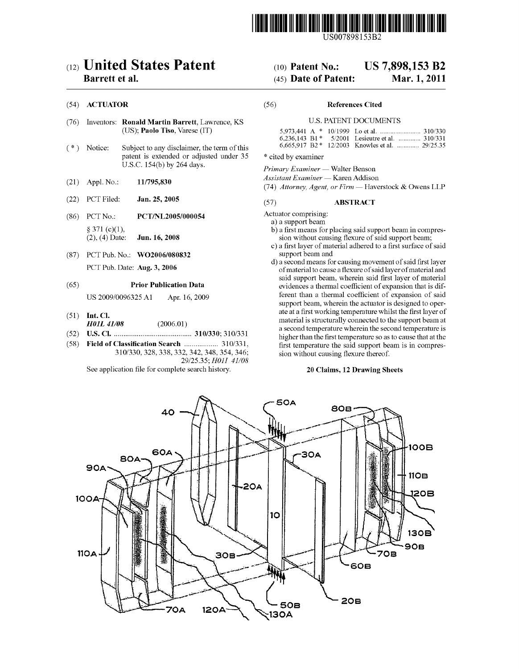

US007898153B2

# (12) United States Patent (10) Patent No.: US 7,898,153 B2

- (76) Inventors: Ronald Martin Barrett, Lawrence, KS U-S- PATENT DOCUMENTS (US); Paolo Tiso, Varese (IT)
- $(*)$  Notice: Subject to any disclaimer, the term of this patent is extended or adjusted under 35 \* cited by examiner U.S.C. 154(b) by 264 days.<br> *Primary Examiner* — Walter Benson
- 
- (22) PCT Filed: Jan. 25, 2005 (57) ABSTRACT
- (86) PCT No.: PCT/NL2005/000054 Actuator comprising:
- (87) PCT Pub. No.: **WO2006/080832** support beam and

- 
- 
- 

See application file for complete search history. 20 Claims, 12 Drawing Sheets

# Barrett et al. **Example 2011** (45) Date of Patent: Mar. 1, 2011

# (54) ACTUATOR (56) References Cited

|  | 6.236.143 B1 $*$ 5/2001 Lesieutre et al.  310/331 |  |
|--|---------------------------------------------------|--|
|  | 6.665.917 B2 * 12/2003 Knowles et al.  29/25.35   |  |

Assistant Examiner - Karen Addison

(21) Appl. No.:  $11/795,830$   $(74)$  Attorney, Agent, or Firm  $-$  Haverstock & Owens LLP

a) a support beam

- $\S$  371 (c)(1),<br>  $\S$  371 (c)(1), b) a first means for placing said support beam in compres-<br>  $\S$  371 (c)(1), b) a first means for placing said support beam in compres-<br>
sion without causing flexure of said support beam; sion without causing flexure of said support beam;
	- c) a first layer of material adhered to a first surface of said
- d) a second means for causing movement of said first layer PCT Pub. Date: Aug. 3, 2006 of material to cause a flexure of said layer of material and said support beam, wherein said first layer of material (65) **Prior Publication Data** evidences a thermal coefficient of expansion that is dif-US 2009/0096325 A1 Apr. 16, 2009 ferent than a thermal coefficient of expansion of said support beam, Wherein the actuator is designed to oper (51) Int. Cl. attachment at a first working temperature whilst the first layer of **H01L 41/08** (2006.01) material is structurally connected to the support beam at  $(52)$  U.S. Cl.  $(2000.01)$  a second temperature wherein the second temperature is<br>(52) U.S. Cl.  $(2000.01)$  a second temperature wherein the second temperature is (52) U5. Cl. ....................................... .. 310/330; 310/331 higherthanthe ?rst temperature so as to Cause that at the **Classification Search** ...................... 310/331, first temperature the said support beam is in compres-<br>310/330, 328, 338, 332, 342, 348, 354, 346; sion without causing flexure thereof. sion without causing flexure thereof.



<sup>29/2535;</sup> H011 41/08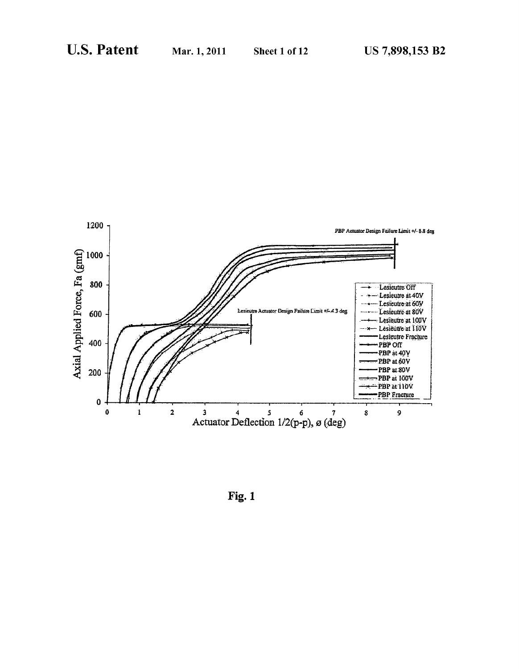

Fig. 1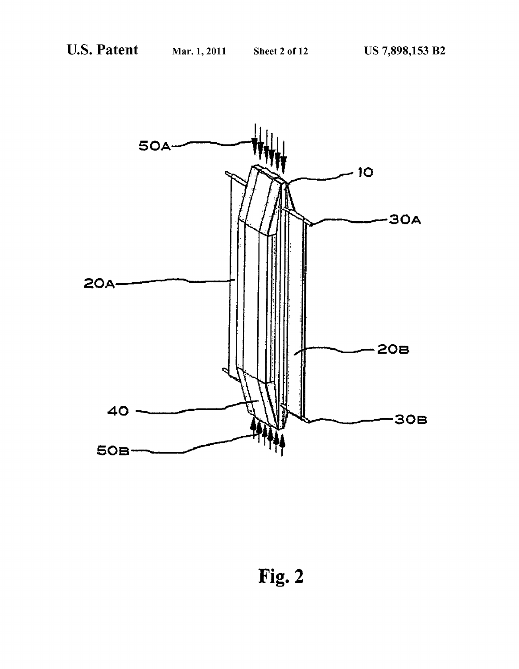

Fig. 2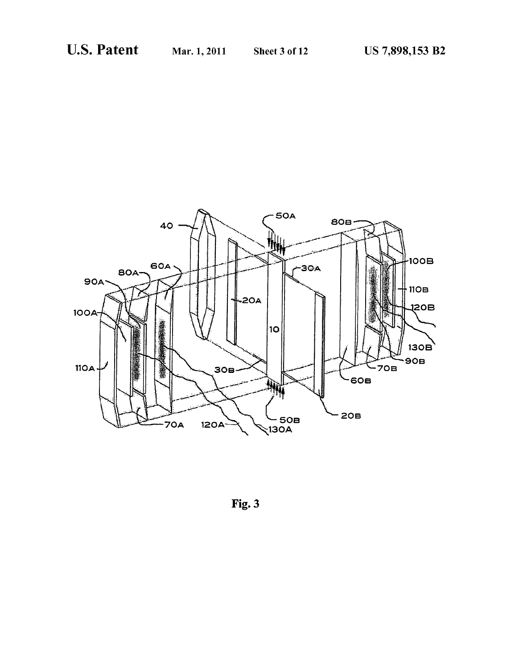

Fig. 3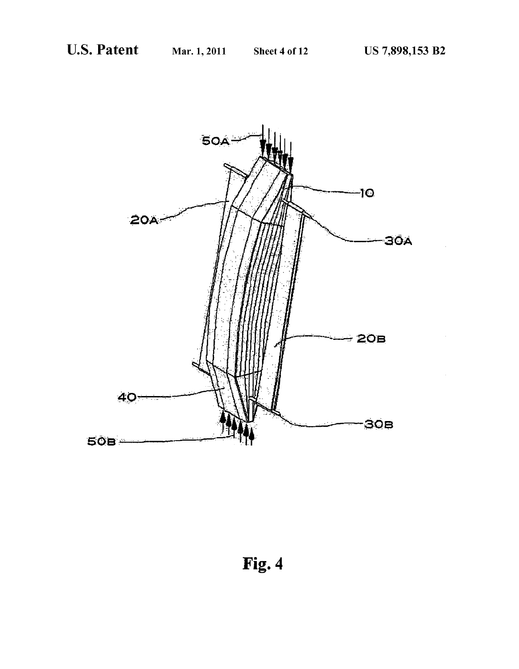

Fig. 4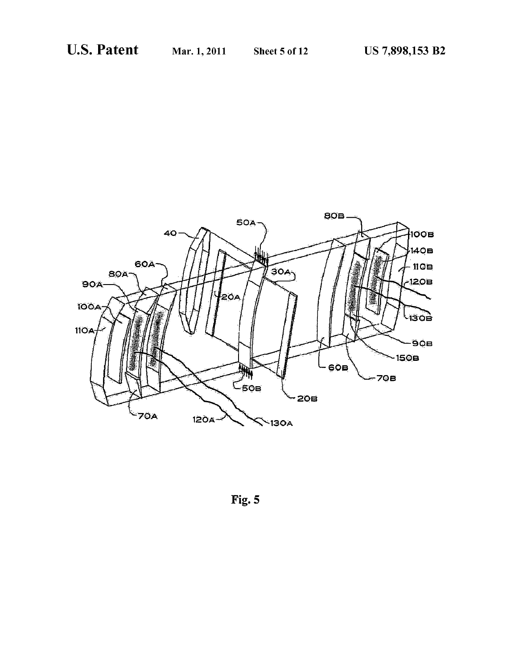

Fig. 5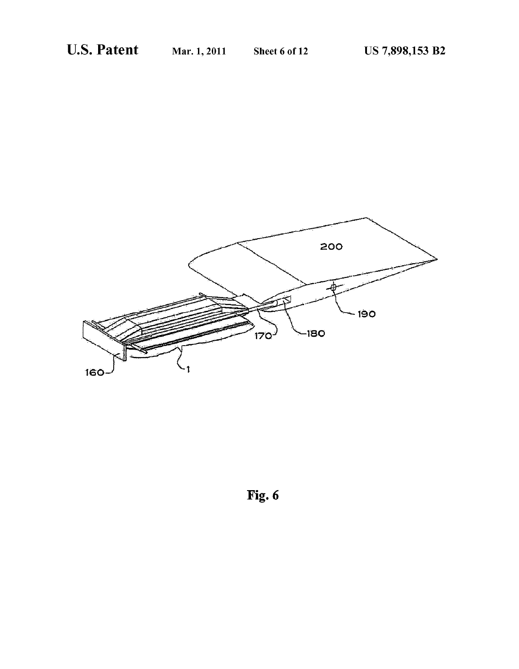

Fig. 6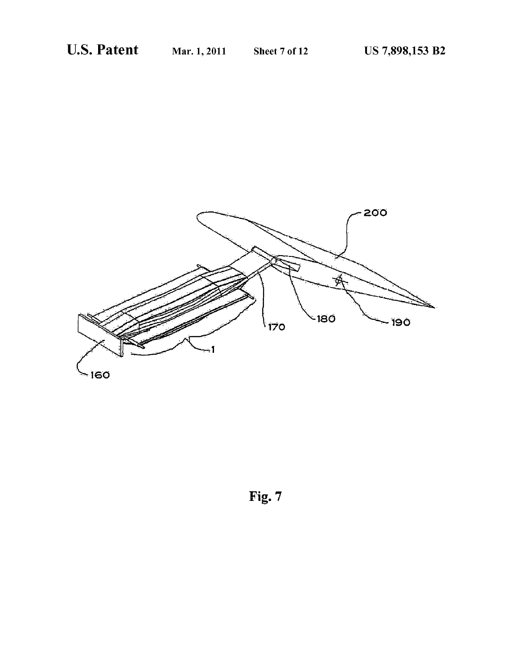

Fig. 7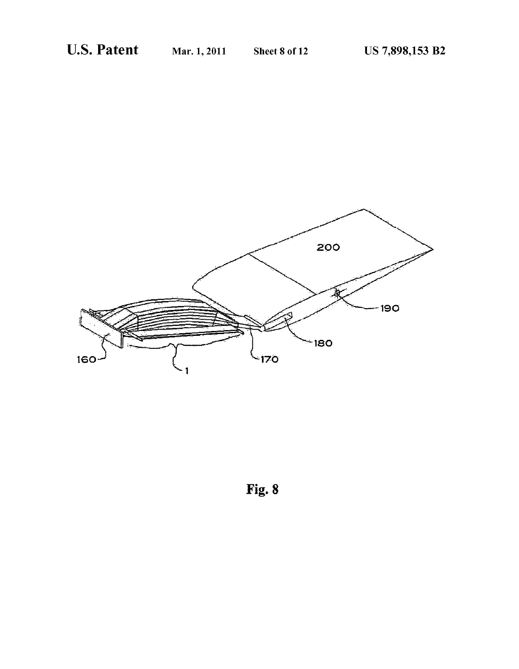

Fig. 8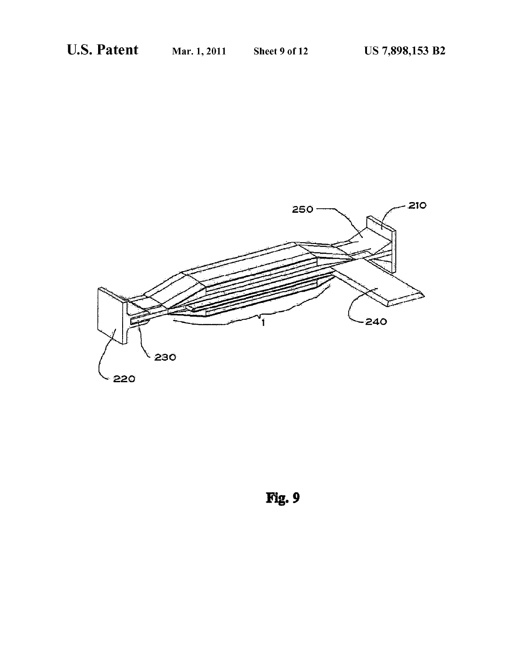

Fig.9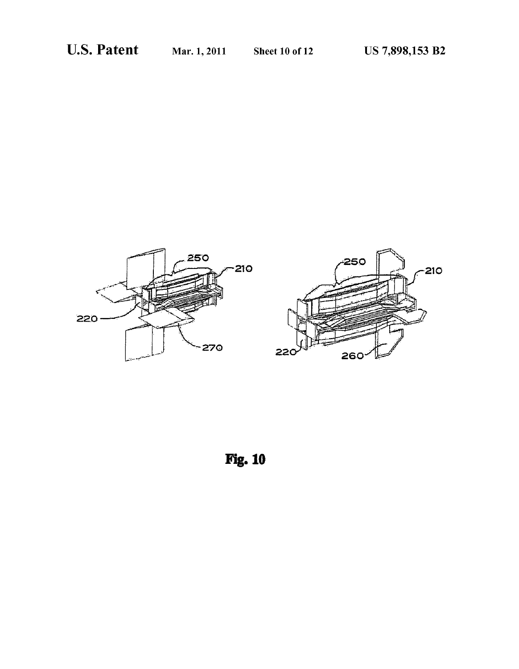

Fig. 10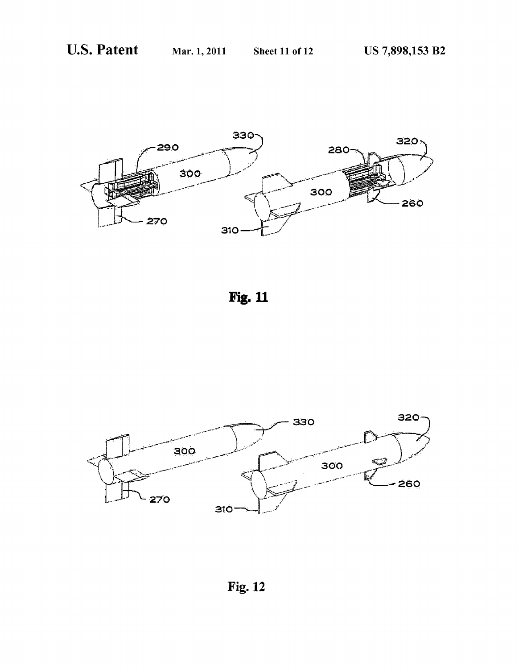

Fig. 11



Fig. 12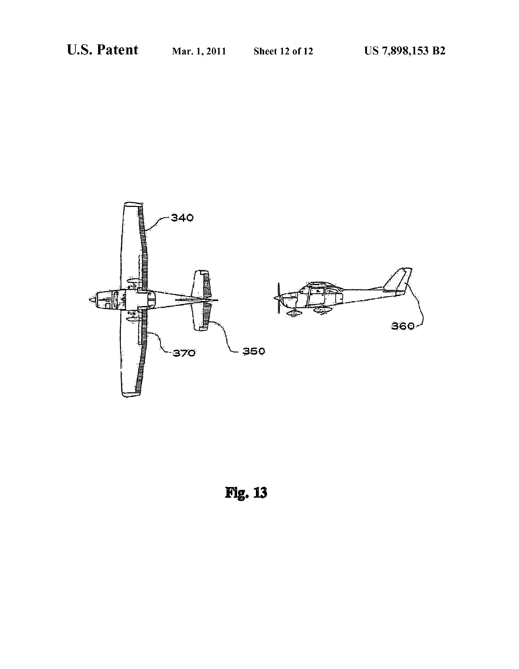

Fig.13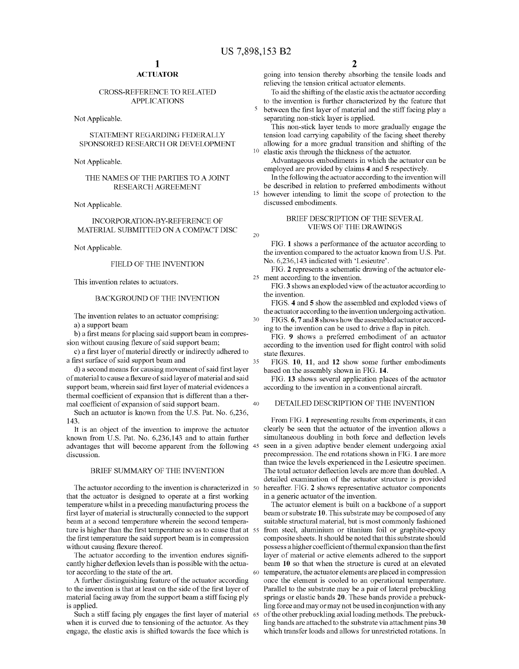20

30

35

40

60

# **ACTUATOR**

# CROSS-REFERENCE TO RELATED APPLICATIONS

Not Applicable.

# STATEMENT REGARDING FEDERALLY SPONSORED RESEARCH OR DEVELOPMENT

Not Applicable.

# THE NAMES OF THE PARTIES TO A JOINT RESEARCH AGREEMENT

Not Applicable.

INCORPORATION-BY-REFERENCE OF MATERIAL SUBMITTED ON A COMPACT DISC

Not Applicable.

# FIELD OF THE INVENTION

This invention relates to actuators.

# BACKGROUND OF THE INVENTION

The invention relates to an actuator comprising:

a) a support beam

b) a first means for placing said support beam in compression without causing flexure of said support beam;

c) a first layer of material directly or indirectly adhered to a first surface of said support beam and

d) a second means for causing movement of said first layer of material to cause a flexure of said layer of material and said support beam, wherein said first layer of material evidences a thermal coefficient of expansion that is different than a thermal coefficient of expansion of said support beam.

Such an actuator is known from the U.S. Pat. No. 6,236, 143.

It is an object of the invention to improve the actuator known from U.S. Pat. No. 6,236,143 and to attain further advantages that Will become apparent from the folloWing 45 discussion.

### BRIEF SUMMARY OF THE INVENTION

The actuator according to the invention is characterized in 50 that the actuator is designed to operate at a first working temperature Whilst in a preceding manufacturing process the first layer of material is structurally connected to the support beam at a second temperature Wherein the second tempera ture is higher than the first temperature so as to cause that at  $\,$  55  $\,$ the first temperature the said support beam is in compression without causing flexure thereof.

The actuator according to the invention endures significantly higher deflexion levels than is possible with the actuator according to the state of the art.

A further distinguishing feature of the actuator according to the invention is that at least on the side of the first layer of material facing aWay from the support beam a stiff facing ply is applied.

Such a stiff facing ply engages the first layer of material 65 when it is curved due to tensioning of the actuator. As they engage, the elastic axis is shifted toWards the face Which is

going into tension thereby absorbing the tensile loads and relieving the tension critical actuator elements.

To aid the shifting of the elastic axis the actuator according to the invention is further characterized by the feature that

between the first layer of material and the stiff facing play a separating non-stick layer is applied.

This non-stick layer tends to more gradually engage the tension load carrying capability of the facing sheet thereby alloWing for a more gradual transition and shifting of the elastic axis through the thickness of the actuator.

Advantageous embodiments in Which the actuator can be employed are provided by claims 4 and 5 respectively.

In the folloWing the actuator according to the invention Will be described in relation to preferred embodiments Without <sup>15</sup> however intending to limit the scope of protection to the

discussed embodiments.

## BRIEF DESCRIPTION OF THE SEVERAL VIEWS OF THE DRAWINGS

FIG. 1 shows a performance of the actuator according to the invention compared to the actuator known from U.S. Pat. No. 6,236,143 indicated With 'Lesieutre'.

25 ment according to the invention. FIG. 2 represents a schematic draWing of the actuator ele

FIG. 3 shows an exploded view of the actuator according to the invention.

FIGS. 4 and 5 show the assembled and exploded views of the actuator according to the invention undergoing activation.

FIGS. 6, 7 and 8 shoWs hoW the assembled actuator accord ing to the invention can be used to drive a flap in pitch.

FIG. 9 shows a preferred embodiment of an actuator according to the invention used for flight control with solid state flexures.

FIGS. 10, 11, and 12 show some further embodiments based on the assembly shown in FIG. 14.

FIG. 13 shows several application places of the actuator according to the invention in a conventional aircraft.

## DETAILED DESCRIPTION OF THE INVENTION

From FIG. 1 representing results from experiments, it can clearly be seen that the actuator of the invention alloWs a simultaneous doubling in both force and deflection levels seen in a given adaptive bender element undergoing axial precompression. The end rotations shoWn in FIG. 1 are more than twice the levels experienced in the Lesieutre specimen. The total actuator deflection levels are more than doubled. A detailed examination of the actuator structure is provided hereafter. FIG. 2 shows representative actuator components in a generic actuator of the invention.

The actuator element is built on a backbone of a support beam or substrate 10. This substrate may be composed of any suitable structural material, but is most commonly fashioned from steel, aluminium or titanium foil or graphite-epoxy composite sheets. It should be noted that this substrate should possess a higher coefficient of thermal expansion than the first layer of material or active elements adhered to the support beam 10 so that When the structure is cured at an elevated temperature, the actuator elements are placed in compression once the element is cooled to an operational temperature. Parallel to the substrate may be a pair of lateral prebuckling springs or elastic bands 20. These bands provide a prebuck ling force and may or may not be used in conjunction With any of the other prebuckling axial loading methods. The prebuck ling bands are attached to the substrate via attachment pins 30 Which transfer loads and alloWs for unrestricted rotations. In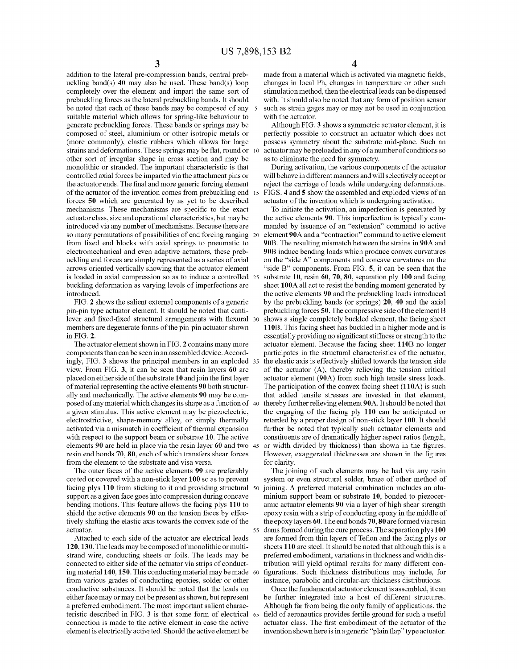addition to the lateral pre-compression bands, central preb uckling band(s)  $40$  may also be used. These band(s) loop completely over the element and impart the same sort of prebuckling forces as the lateral prebuckling bands. It should be noted that each of these bands may be composed of any suitable material Which alloWs for spring-like behaviour to generate prebuckling forces. These bands or springs may be composed of steel, aluminium or other isotropic metals or (more commonly), elastic rubbers which allows for large strains and deformations. These springs may be flat, round or 10 other sort of irregular shape in cross section and may be monolithic or stranded. The important characteristic is that controlled axial forces be imparted via the attachment pins or the actuator ends. The final and more generic forcing element of the actuator of the invention comes from prebuckling end forces 50 Which are generated by as yet to be described mechanisms. These mechanisms are specific to the exact actuator class, size and operational characteristics, but may be introduced via any number of mechanisms. Because there are so many permutations of possibilities of end forcing ranging 20 from fixed end blocks with axial springs to pneumatic to electromechanical and even adaptive actuators, these preb uckling end forces are simply represented as a series of axial arrows oriented vertically showing that the actuator element is loaded in axial compression so as to induce a controlled 25 buckling deformation as varying levels of imperfections are introduced.

FIG. 2 shows the salient external components of a generic pin-pin type actuator element. It should be noted that canti lever and fixed-fixed structural arrangements with flexural 30 members are degenerate forms of the pin-pin actuator shown in FIG. 2.

The actuator element shown in FIG. 2 contains many more components than can be seen in an assembled device. Accord ingly, FIG. 3 shoWs the principal members in an exploded 35 vieW. From FIG. 3, it can be seen that resin layers 60 are placed on either side of the substrate 10 and join the first layer of material representing the active elements 90 both structur ally and mechanically. The active elements 90 may be com posed of any material Which changes its shape as a function of 40 a given stimulus. This active element may be piezoelectric, electrostrictive, shape-memory alloy, or simply thermally activated via a mismatch in coefficient of thermal expansion with respect to the support beam or substrate 10. The active elements 90 are held in place via the resin layer 60 and tWo 45 resin end bonds 70, 80, each of Which transfers shear forces from the element to the substrate and visa versa.

The outer faces of the active elements 99 are preferably coated or covered With a non-stick layer 100 so as to prevent facing plys 110 from sticking to it and providing structural 50 support as a given face goes into compression during concave bending motions. This feature alloWs the facing plys 110 to shield the active elements 90 on the tension faces by effec tively shifting the elastic axis towards the convex side of the actuator.

Attached to each side of the actuator are electrical leads 120, 130. The leads may be composed of monolithic or multi strand Wire, conducting sheets or foils. The leads may be connected to either side of the actuator via strips of conduct ing material 140, 150. This conducting material may be made 60 from various grades of conducting epoxies, solder or other conductive substances. It should be noted that the leads on either face may or may not be present as shoWn, but represent a preferred embodiment. The most important salient charac teristic described in FIG. 3 is that some form of electrical 65 connection is made to the active element in case the active element is electrically activated. Should the active element be

made from a material which is activated via magnetic fields, changes in local Ph, changes in temperature or other such stimulation method, then the electrical leads can be dispensed with. It should also be noted that any form of position sensor such as strain gages may or may not be used in conjunction With the actuator.

Although FIG. 3 shows a symmetric actuator element, it is perfectly possible to construct an actuator Which does not possess symmetry about the substrate mid-plane. Such an actuator may be preloaded in any of a number of conditions so as to eliminate the need for symmetry.

During activation, the various components of the actuator Will behave in different manners and Will selectively accept or reject the carriage of loads While undergoing deformations. FIGS. 4 and 5 show the assembled and exploded views of an actuator of the invention Which is undergoing activation.

To initiate the activation, an imperfection is generated by the active elements 90. This imperfection is typically com manded by issuance of an "extension" command to active element 90A and a "contraction" command to active element 90B. The resulting mismatch between the strains in 90A and 90B induce bending loads Which produce convex curvatures on the "side A" components and concave curvatures on the "side B" components. From FIG. 5, it can be seen that the substrate 10, resin 60, 70, 80, separation ply 100 and facing sheet 100A all act to resist the bending moment generated by the active elements 90 and the prebuckling loads introduced by the prebuckling bands (or springs) 20, 40 and the axial prebuckling forces 50. The compressive side of the element B shoWs a single completely buckled element, the facing sheet 110B. This facing sheet has buckled in a higher mode and is essentially providing no significant stiffness or strength to the actuator element. Because the facing sheet 110B no longer participates in the structural characteristics of the actuator, the elastic axis is effectively shifted toWards the tension side of the actuator (A), thereby relieving the tension critical actuator element (90A) from such high tensile stress loads. The participation of the convex facing sheet (110A) is such that added tensile stresses are invested in that element, thereby further relieving element 90A. It should be noted that the engaging of the facing ply 110 can be anticipated or retarded by a proper design of non-stick layer 100. It should further be noted that typically such actuator elements and constituents are of dramatically higher aspect ratios (length, or width divided by thickness) than shown in the figures. However, exaggerated thicknesses are shown in the figures for clarity.

The joining of such elements may be had via any resin system or even structural solder, braze of other method of joining. A preferred material combination includes an alu minium support beam or substrate 10, bonded to piezoceramic actuator elements 90 via a layer of high shear strength epoxy resin With a strip of conducting epoxy in the middle of the epoxy layers 60. The end bonds 70, 80 are formed via resin dams formed during the cure process. The separation plys 100 are formed from thin layers of Teflon and the facing plys or sheets 110 are steel. It should be noted that although this is a preferred embodiment, variations in thickness and Width dis tribution Will yield optimal results for many different con figurations. Such thickness distributions may include, for instance, parabolic and circular-arc thickness distributions.

Once the fundamental actuator element is assembled, it can be further integrated into a host of different structures. Although far from being the only family of applications, the field of aeronautics provides fertile ground for such a useful actuator class. The first embodiment of the actuator of the invention shown here is in a generic "plain flap" type actuator.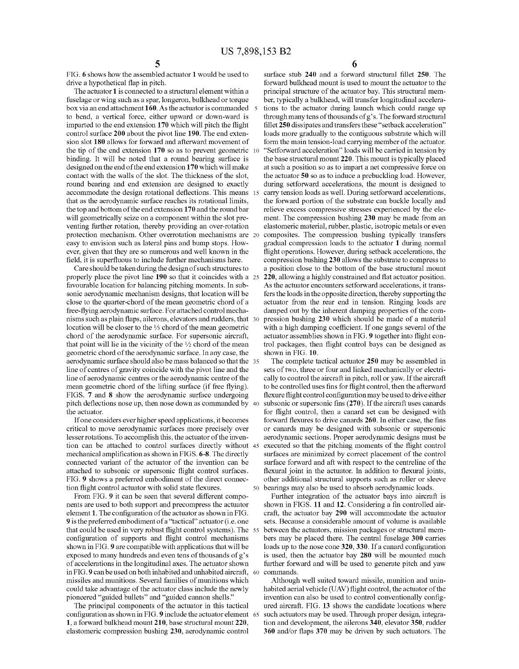FIG. 6 shows hoW the assembled actuator 1 Would be used to drive a hypothetical flap in pitch.

The actuator 1 is connected to a structural element Within a fuselage or Wing such as a spar, longeron, bulkhead or torque box via an end attachment 160. As the actuator is commanded to bend, a vertical force, either upward or down-ward is imparted to the end extension  $170$  which will pitch the flight control surface 200 about the pivot line 190. The end exten sion slot 180 allows for forward and afterward movement of the tip of the end extension 170 so as to prevent geometric 10 binding. It Will be noted that a round bearing surface is designed on the end of the end extension 170 Which Will make contact With the Walls of the slot. The thickness of the slot, round bearing and end extension are designed to exactly accommodate the design rotational deflections. This means 15 that as the aerodynamic surface reaches its rotational limits, the top and bottom of the end extension 170 and the round bar will geometrically seize on a component within the slot preventing further rotation, thereby providing an over-rotation protection mechanism. Other overrotation mechanisms are 20 easy to envision such as lateral pins and bump stops. HoW ever, given that they are so numerous and well known in the field, it is superfluous to include further mechanisms here.

Care should be taken during the design of such structures to properly place the pivot line 190 so that it coincides With a 25 favourable location for balancing pitching moments. In sub sonic aerodynamic mechanism designs, that location Will be close to the quarter-chord of the mean geometric chord of a free-flying aerodynamic surface. For attached control mechanisms such as plain flaps, ailerons, elevators and rudders, that -30  $^{\circ}$ location Will be closer to the 1/3 chord of the mean geometric chord of the aerodynamic surface. For supersonic aircraft, that point will lie in the vicinity of the  $\frac{1}{2}$  chord of the mean geometric chord of the aerodynamic surface. In any case, the aerodynamic surface should also be mass balanced so that the 35 line of centres of gravity coincide With the pivot line and the line of aerodynamic centres or the aerodynamic centre of the mean geometric chord of the lifting surface (if free flying). FIGS. 7 and 8 shoW the aerodynamic surface undergoing pitch deflections nose up, then nose down as commanded by 40 the actuator.

If one considers ever higher speed applications, it becomes critical to move aerodynamic surfaces more precisely over lesser rotations. To accomplish this, the actuator of the inven tion can be attached to control surfaces directly Without 45 mechanical amplification as shown in FIGS. 6-8. The directly connected variant of the actuator of the invention can be attached to subsonic or supersonic flight control surfaces. FIG. 9 shows a preferred embodiment of the direct connection flight control actuator with solid state flexures.

From FIG. 9 it can be seen that several different compo nents are used to both support and precompress the actuator element 1. The configuration of the actuator as shown in FIG. 9 is the preferred embodiment of a "tactical" actuator (i.e. one that could be used in very robust flight control systems). The 55 configuration of supports and flight control mechanisms shown in FIG. 9 are compatible with applications that will be exposed to many hundreds and even tens of thousands of g's of accelerations in the longitudinal axes. The actuator shoWn in FIG. 9 can be used on both inhabited and unhabited aircraft, 60 missiles and munitions. Several families of munitions Which could take advantage of the actuator class include the newly pioneered "guided bullets" and "guided cannon shells."

The principal components of the actuator in this tactical configuration as shown in FIG. **9** include the actuator element  $\,$  65 1, a forward bulkhead mount 210, base structural mount 220, elastomeric compression bushing 230, aerodynamic control

6

surface stub 240 and a forward structural fillet 250. The forward bulkhead mount is used to mount the actuator to the principal structure of the actuator bay. This structural mem ber, typically a bulkhead, Will transfer longitudinal accelera tions to the actuator during launch Which could range up through many tens of thousands of g's. The forward structural fillet 250 dissipates and transfers these "setback acceleration" loads more gradually to the contiguous substrate Which Will form the main tension-load carrying member of the actuator. "Setforward acceleration" loads will be carried in tension by the base structural mount 220. This mount is typically placed at such a position so as to impart a net compressive force on the actuator 50 so as to induce a prebuckling load. HoWever, during setforward accelerations, the mount is designed to carry tension loads as well. During setforward accelerations, the forward portion of the substrate can buckle locally and relieve excess compressive stresses experienced by the ele ment. The compression bushing 230 may be made from an elastomeric material, rubber, plastic, isotropic metals or even composites. The compression bushing typically transfers gradual compression loads to the actuator 1 during normal flight operations. However, during setback accelerations, the compression bushing 230 alloWs the substrate to compress to a position close to the bottom of the base structural mount 220, allowing a highly constrained and flat actuator position. As the actuator encounters setforward accelerations, it transfers the loads in the opposite direction, thereby supporting the actuator from the rear end in tension. Ringing loads are damped out by the inherent damping properties of the com pression bushing 230 Which should be made of a material with a high damping coefficient. If one gangs several of the actuator assemblies shown in FIG. 9 together into flight control packages, then flight control bays can be designed as shoWn in FIG. 10.

The complete tactical actuator 250 may be assembled in sets of two, three or four and linked mechanically or electrically to control the aircraft in pitch, roll or yaW. If the aircraft to be controlled uses fins for flight control, then the afterward flexure flight control configuration may be used to drive either subsonic or supersonic fins  $(270)$ . If the aircraft uses canards for flight control, then a canard set can be designed with forward flexures to drive canards 260. In either case, the fins or canards may be designed With subsonic or supersonic aerodynamic sections. Proper aerodynamic designs must be executed so that the pitching moments of the flight control surfaces are minimized by correct placement of the control surface forward and aft with respect to the centreline of the flexural joint in the actuator. In addition to flexural joints, other additional structural supports such as roller or sleeve bearings may also be used to absorb aerodynamic loads.

Further integration of the actuator bays into aircraft is shown in FIGS. 11 and 12. Considering a fin controlled aircraft, the actuator bay 290 Will accommodate the actuator sets. Because a considerable amount of volume is available between the actuators, mission packages or structural members may be placed there. The central fuselage 300 carries loads up to the nose cone  $320$ ,  $330$ . If a canard configuration is used, then the actuator bay 280 Will be mounted much further forward and will be used to generate pitch and yaw commands.

Although well suited toward missile, munition and uninhabited aerial vehicle (UAV) flight control, the actuator of the invention can also be used to control conventionally configured aircraft. FIG. 13 shows the candidate locations where such actuators may be used. Through proper design, integra tion and development, the ailerons 340, elevator 350, rudder 360 and/or flaps 370 may be driven by such actuators. The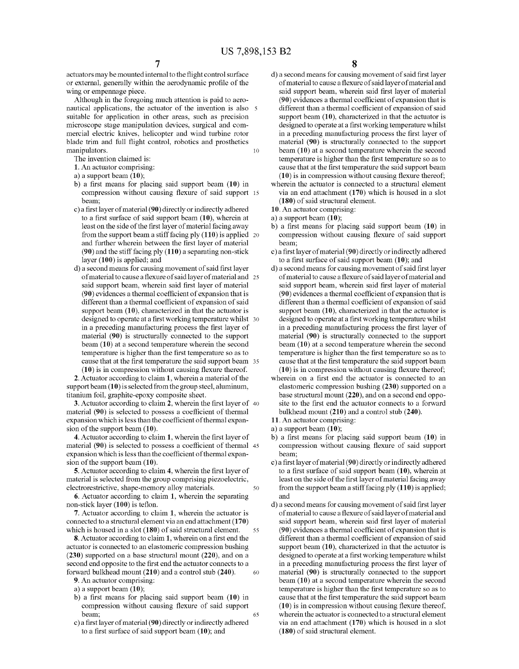actuators may be mounted internal to the flight control surface or external, generally within the aerodynamic profile of the wing or empennage piece.

Although in the foregoing much attention is paid to aeronautical applications, the actuator of the invention is also 5 suitable for application in other areas, such as precision microscope stage manipulation devices, surgical and commercial electric knives, helicopter and wind turbine rotor blade trim and full flight control, robotics and prosthetics manipulators.  $10$ 

The invention claimed is:

- 1. An actuator comprising:
- a) a support beam  $(10)$ ;
- b) a first means for placing said support beam (10) in compression without causing flexure of said support 15 beam:
- c) a first layer of material (90) directly or indirectly adhered to a first surface of said support beam  $(10)$ , wherein at least on the side of the first layer of material facing away from the support beam a stiff facing  $p(y(110))$  is applied 20 and further wherein between the first layer of material  $(90)$  and the stiff facing ply  $(110)$  a separating non-stick layer (100) is applied; and
- d) a second means for causing movement of said first layer of material to cause a flexure of said layer of material and 25 said support beam, wherein said first layer of material  $(90)$  evidences a thermal coefficient of expansion that is different than a thermal coefficient of expansion of said support beam  $(10)$ , characterized in that the actuator is designed to operate at a first working temperature whilst 30 in a preceding manufacturing process the first layer of material (90) is structurally connected to the support beam  $(10)$  at a second temperature wherein the second temperature is higher than the first temperature so as to cause that at the first temperature the said support beam 35  $(10)$  is in compression without causing flexure thereof.

2. Actuator according to claim 1, wherein a material of the support beam (10) is selected from the group steel, aluminum, titanium foil, graphite-epoxy composite sheet.

3. Actuator according to claim 2, wherein the first layer of 40 material (90) is selected to possess a coefficient of thermal expansion which is less than the coefficient of thermal expansion of the support beam  $(10)$ .

4. Actuator according to claim 1, wherein the first layer of material (90) is selected to possess a coefficient of thermal 45 expansion which is less than the coefficient of thermal expansion of the support beam  $(10)$ .

5. Actuator according to claim 4, wherein the first layer of material is selected from the group comprising piezoelectric, electrorestrictive, shape-memory alloy materials. 50

6. Actuator according to claim 1, wherein the separating non-stick layer (100) is teflon.

7. Actuator according to claim 1, wherein the actuator is connected to a structural element via an end attachment (170) which is housed in a slot  $(180)$  of said structural element. 55

8. Actuator according to claim 1, wherein on a first end the actuator is connected to an elastomeric compression bushing  $(230)$  supported on a base structural mount  $(220)$ , and on a second end opposite to the first end the actuator connects to a forward bulkhead mount (210) and a control stub (240). 60

9. An actuator comprising:

- a) a support beam  $(10)$ ;
- b) a first means for placing said support beam  $(10)$  in compression without causing flexure of said support beam: 65
- c) a first layer of material (90) directly or indirectly adhered to a first surface of said support beam  $(10)$ ; and
- d) a second means for causing movement of said first layer of material to cause a flexure of said layer of material and said support beam, wherein said first layer of material (90) evidences a thermal coefficient of expansion that is different than a thermal coefficient of expansion of said support beam  $(10)$ , characterized in that the actuator is designed to operate at a first working temperature whilst in a preceding manufacturing process the first layer of material (90) is structurally connected to the support beam  $(10)$  at a second temperature wherein the second temperature is higher than the first temperature so as to cause that at the first temperature the said support beam  $(10)$  is in compression without causing flexure thereof; wherein the actuator is connected to a structural element
- via an end attachment  $(170)$  which is housed in a slot  $(180)$  of said structural element.

10. An actuator comprising:

a) a support beam  $(10)$ ;

- b) a first means for placing said support beam  $(10)$  in compression without causing flexure of said support beam:
- c) a first layer of material (90) directly or indirectly adhered to a first surface of said support beam  $(10)$ ; and
- d) a second means for causing movement of said first layer of material to cause a flexure of said layer of material and said support beam, wherein said first layer of material (90) evidences a thermal coefficient of expansion that is different than a thermal coefficient of expansion of said support beam  $(10)$ , characterized in that the actuator is designed to operate at a first working temperature whilst in a preceding manufacturing process the first layer of material (90) is structurally connected to the support beam  $(10)$  at a second temperature wherein the second temperature is higher than the first temperature so as to cause that at the first temperature the said support beam  $(10)$  is in compression without causing flexure thereof;
- wherein on a first end the actuator is connected to an elastomeric compression bushing (230) supported on a base structural mount (220), and on a second end opposite to the first end the actuator connects to a forward bulkhead mount (210) and a control stub (240).
- 11. An actuator comprising:
- a) a support beam  $(10)$ ;
- b) a first means for placing said support beam  $(10)$  in compression without causing flexure of said support beam:
- c) a first layer of material (90) directly or indirectly adhered to a first surface of said support beam  $(10)$ , wherein at least on the side of the first layer of material facing away from the support beam a stiff facing  $ply (110)$  is applied; and
- d) a second means for causing movement of said first layer of material to cause a flexure of said layer of material and said support beam, wherein said first layer of material (90) evidences a thermal coefficient of expansion that is different than a thermal coefficient of expansion of said support beam  $(10)$ , characterized in that the actuator is designed to operate at a first working temperature whilst in a preceding manufacturing process the first layer of material (90) is structurally connected to the support beam  $(10)$  at a second temperature wherein the second temperature is higher than the first temperature so as to cause that at the first temperature the said support beam  $(10)$  is in compression without causing flexure thereof, wherein the actuator is connected to a structural element via an end attachment  $(170)$  which is housed in a slot  $(180)$  of said structural element.